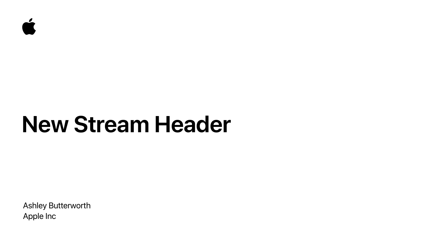Ashley Butterworth Apple Inc



# **New Stream Header**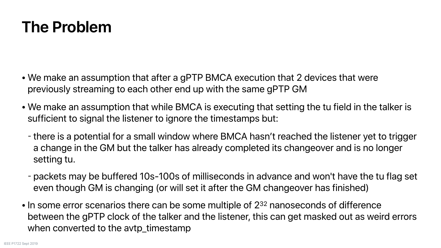- We make an assumption that after a gPTP BMCA execution that 2 devices that were previously streaming to each other end up with the same gPTP GM
- sufficient to signal the listener to ignore the timestamps but:
	- setting tu.
	- even though GM is changing (or will set it after the GM changeover has finished)
- In some error scenarios there can be some multiple of 2<sup>32</sup> nanoseconds of difference when converted to the avtp\_timestamp

#### **The Problem**

• We make an assumption that while BMCA is executing that setting the tu field in the talker is

- there is a potential for a small window where BMCA hasn't reached the listener yet to trigger a change in the GM but the talker has already completed its changeover and is no longer

- packets may be buffered 10s-100s of milliseconds in advance and won't have the tu flag set

between the gPTP clock of the talker and the listener, this can get masked out as weird errors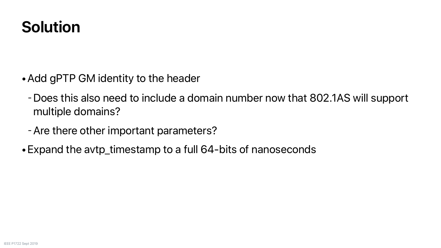### **Solution**

-Does this also need to include a domain number now that 802.1AS will support

- •Add gPTP GM identity to the header
	- multiple domains?
	- -Are there other important parameters?
- •Expand the avtp\_timestamp to a full 64-bits of nanoseconds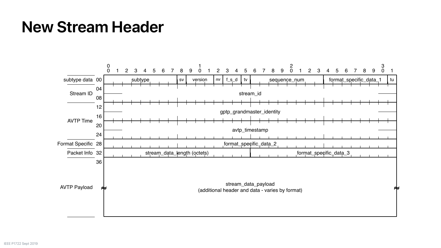#### **New Stream Header**